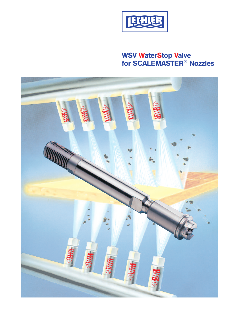

# **WSV WaterStop Valve for SCALEMASTER® Nozzles**

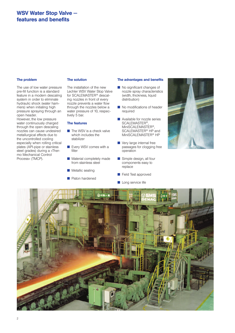### **WSV Water Stop Valve features and benefits**

#### **The problem**

The use of low water pressure pre-fill function is a standard feature in a modern descaling system in order to eliminate hydraulic shock (water hammers) when initiating high pressure spraying through an open header.

However, the low pressure water continuously charged through the open descaling nozzles can cause undesired metallurgical effects due to the uncontrolled cooling especially when rolling critical plates (API-pipe or stainless steel grades) during a »Thermo Mechanical Control Process« (TMCP).

#### **The solution**

The installation of the new Lechler WSV Water Stop Valve for SCALEMASTER® descaling nozzles in front of every nozzle prevents a water flow through the nozzles below a water pressure of 10, respectively 5 bar.

#### **The features**

- $\blacksquare$  The WSV is a check valve which includes the stabilizer
- **n** Every WSV comes with a filter
- **n** Material completely made from stainless steel
- $\blacksquare$  Metallic sealing
- $\blacksquare$  Piston hardened

#### **The advantages and benefits**

- $\blacksquare$  No significant changes of nozzle spray characteristics (width, thickness, liquid distribution)
- $\blacksquare$  No modifications of header required
- **n** Available for nozzle series SCALEMASTER®, MiniSCALEMASTER®, SCALEMASTER® HP and MiniSCALEMASTER<sup>®</sup> HP
- Very large internal free passages for clogging free operation
- $\blacksquare$  Simple design, all four components easy to replace
- **n** Field Test approved
- $\blacksquare$  Long service life



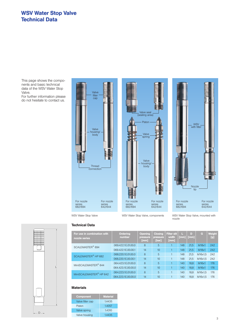### **WSV Water Stop Valve Technical Data**

This page shows the components and basic technical data of the WSV Water Stop Valve.

For further information please do not hesitate to contact us.







**Technical Data**

WSV Water Stop Valve WSV Water Stop Valve, components WSV Water Stop Valve, mounted with nozzle



**Ordering For use in combination with D Weight Filter slit Opening Closing G L number**

| <u>I VI VESTILI VYHIDYHICH VII WINI</u><br>nozzle series | <b>CARL LEADER</b><br>number | $\sim$ , $\sim$ , $\sim$ , $\sim$ , $\sim$<br>pressure<br>[mm] | <b>CALCOMING</b><br>pressure<br>[bar] | width<br>[mm] | ר<br>[mm]   | .<br>[mm] | $\sim$ $-$ | <u>u var mu</u><br>[g] |
|----------------------------------------------------------|------------------------------|----------------------------------------------------------------|---------------------------------------|---------------|-------------|-----------|------------|------------------------|
| SCALEMASTER <sup>®</sup> 694                             | 069.422.1E.01.00.0           | 8                                                              | 5                                     |               | 148         | 21.5      | M18x1      | 242                    |
|                                                          | 069.422.1E.00.00.1           | 14                                                             | 10                                    |               | 148<br>21.5 | M18x1     | 242        |                        |
| SCALEMASTER <sup>®</sup> HP 682                          | 068.220.1E.01.00.0           | 8                                                              | 5                                     |               | 148         | 21.5      | M16x1.5    | 242                    |
|                                                          | 068.220.1E.00.00.1           | 14                                                             | 10                                    |               | 148         | 21.5      | M16x1.5    | 242                    |
| MiniSCALEMASTER <sup>®</sup> 644                         | 064.423.1E.01.00.0           | 8                                                              | 5                                     |               | 140         | 18.8      | M16x1      | 176                    |
|                                                          | 064.423.1E.00.00.0           | 14                                                             | 10                                    |               | 140         | 18.8      | M16x1      | 176                    |
| MiniSCALEMASTER <sup>®</sup> HP 642                      | 064.223.1E.01.00.0           | 8                                                              | 5                                     |               | 140         | 18.8      | M16x1,5    | 176                    |
|                                                          | 064.223.1E.00.00.0           | 14                                                             | 10                                    |               | 140         | 18.8      | M16x1,5    | 176                    |

### **Materials**

| <b>Component</b> | <b>Material</b> |
|------------------|-----------------|
| Valve filter cap | 1.4435          |
| Piston           | 1.4057          |
| Valve spring     | 1.4310          |
| Valve housing    | 14435           |